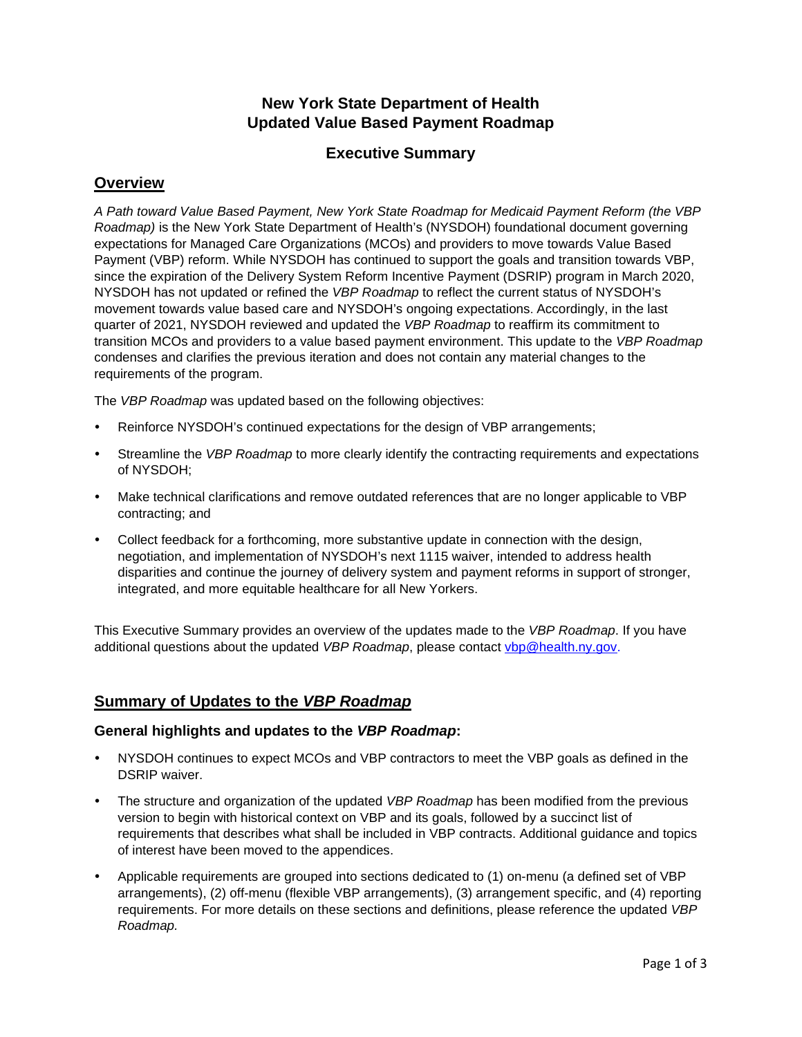# **New York State Department of Health Updated Value Based Payment Roadmap**

## **Executive Summary**

## **Overview**

*A Path toward Value Based Payment, New York State Roadmap for Medicaid Payment Reform (the VBP Roadmap)* is the New York State Department of Health's (NYSDOH) foundational document governing expectations for Managed Care Organizations (MCOs) and providers to move towards Value Based Payment (VBP) reform. While NYSDOH has continued to support the goals and transition towards VBP, since the expiration of the Delivery System Reform Incentive Payment (DSRIP) program in March 2020, NYSDOH has not updated or refined the *VBP Roadmap* to reflect the current status of NYSDOH's movement towards value based care and NYSDOH's ongoing expectations. Accordingly, in the last quarter of 2021, NYSDOH reviewed and updated the *VBP Roadmap* to reaffirm its commitment to transition MCOs and providers to a value based payment environment. This update to the *VBP Roadmap* condenses and clarifies the previous iteration and does not contain any material changes to the requirements of the program.

The *VBP Roadmap* was updated based on the following objectives:

- Reinforce NYSDOH's continued expectations for the design of VBP arrangements;
- Streamline the *VBP Roadmap* to more clearly identify the contracting requirements and expectations of NYSDOH;
- Make technical clarifications and remove outdated references that are no longer applicable to VBP contracting; and
- Collect feedback for a forthcoming, more substantive update in connection with the design, negotiation, and implementation of NYSDOH's next 1115 waiver, intended to address health disparities and continue the journey of delivery system and payment reforms in support of stronger, integrated, and more equitable healthcare for all New Yorkers.

This Executive Summary provides an overview of the updates made to the *VBP Roadmap*. If you have additional questions about the updated *VBP Roadmap*, please contact *ybp@health.ny.gov.* 

## **Summary of Updates to the** *VBP Roadmap*

### **General highlights and updates to the** *VBP Roadmap***:**

- NYSDOH continues to expect MCOs and VBP contractors to meet the VBP goals as defined in the DSRIP waiver.
- The structure and organization of the updated *VBP Roadmap* has been modified from the previous version to begin with historical context on VBP and its goals, followed by a succinct list of requirements that describes what shall be included in VBP contracts. Additional guidance and topics of interest have been moved to the appendices.
- Applicable requirements are grouped into sections dedicated to (1) on-menu (a defined set of VBP arrangements), (2) off-menu (flexible VBP arrangements), (3) arrangement specific, and (4) reporting requirements. For more details on these sections and definitions, please reference the updated *VBP Roadmap.*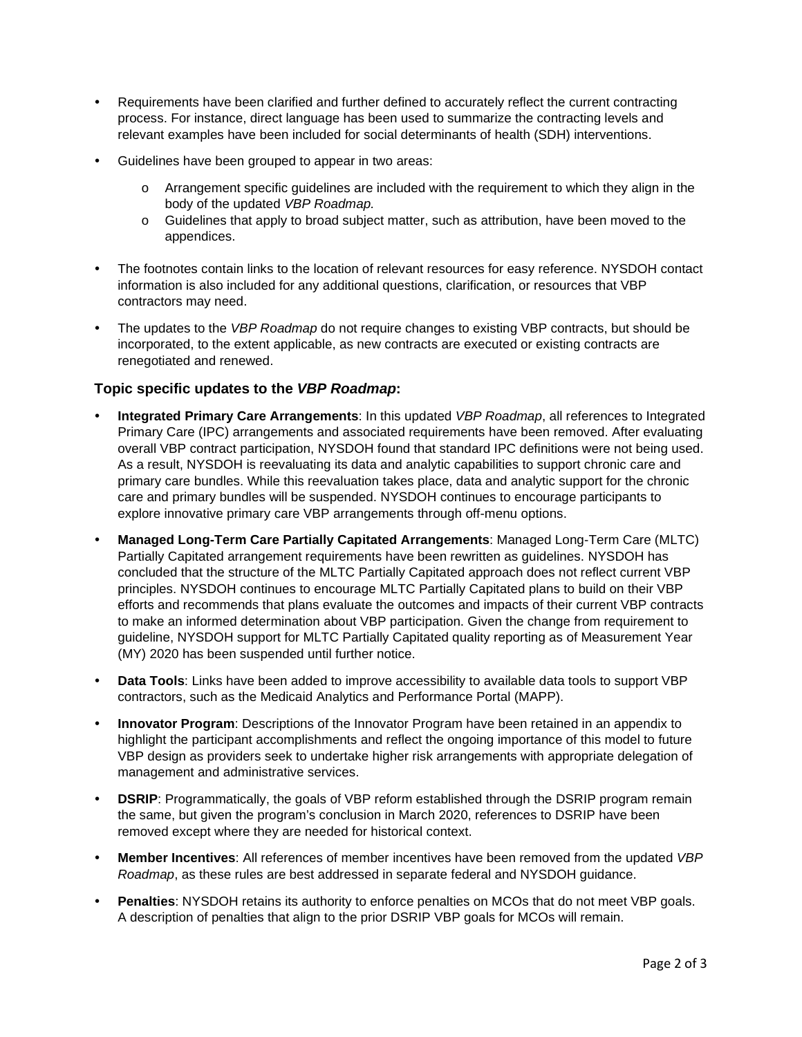- Requirements have been clarified and further defined to accurately reflect the current contracting process. For instance, direct language has been used to summarize the contracting levels and relevant examples have been included for social determinants of health (SDH) interventions.
- Guidelines have been grouped to appear in two areas:
	- o Arrangement specific guidelines are included with the requirement to which they align in the body of the updated *VBP Roadmap.*
	- $\circ$  Guidelines that apply to broad subject matter, such as attribution, have been moved to the appendices.
- The footnotes contain links to the location of relevant resources for easy reference. NYSDOH contact information is also included for any additional questions, clarification, or resources that VBP contractors may need.
- The updates to the *VBP Roadmap* do not require changes to existing VBP contracts, but should be incorporated, to the extent applicable, as new contracts are executed or existing contracts are renegotiated and renewed.

### **Topic specific updates to the** *VBP Roadmap***:**

- **Integrated Primary Care Arrangements**: In this updated *VBP Roadmap*, all references to Integrated Primary Care (IPC) arrangements and associated requirements have been removed. After evaluating overall VBP contract participation, NYSDOH found that standard IPC definitions were not being used. As a result, NYSDOH is reevaluating its data and analytic capabilities to support chronic care and primary care bundles. While this reevaluation takes place, data and analytic support for the chronic care and primary bundles will be suspended. NYSDOH continues to encourage participants to explore innovative primary care VBP arrangements through off-menu options.
- **Managed Long-Term Care Partially Capitated Arrangements**: Managed Long-Term Care (MLTC) Partially Capitated arrangement requirements have been rewritten as guidelines. NYSDOH has concluded that the structure of the MLTC Partially Capitated approach does not reflect current VBP principles. NYSDOH continues to encourage MLTC Partially Capitated plans to build on their VBP efforts and recommends that plans evaluate the outcomes and impacts of their current VBP contracts to make an informed determination about VBP participation. Given the change from requirement to guideline, NYSDOH support for MLTC Partially Capitated quality reporting as of Measurement Year (MY) 2020 has been suspended until further notice.
- **Data Tools**: Links have been added to improve accessibility to available data tools to support VBP contractors, such as the Medicaid Analytics and Performance Portal (MAPP).
- **Innovator Program**: Descriptions of the Innovator Program have been retained in an appendix to highlight the participant accomplishments and reflect the ongoing importance of this model to future VBP design as providers seek to undertake higher risk arrangements with appropriate delegation of management and administrative services.
- **DSRIP:** Programmatically, the goals of VBP reform established through the DSRIP program remain the same, but given the program's conclusion in March 2020, references to DSRIP have been removed except where they are needed for historical context.
- **Member Incentives**: All references of member incentives have been removed from the updated *VBP Roadmap*, as these rules are best addressed in separate federal and NYSDOH guidance.
- **Penalties**: NYSDOH retains its authority to enforce penalties on MCOs that do not meet VBP goals. A description of penalties that align to the prior DSRIP VBP goals for MCOs will remain.